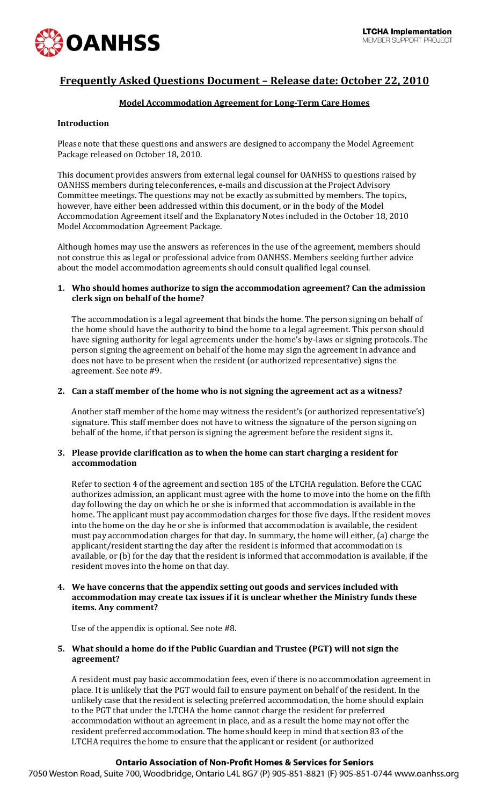

# **Frequently Asked Questions Document – Release date: October 22, 2010**

# **Model Accommodation Agreement for Long-Term Care Homes**

# **Introduction**

Please note that these questions and answers are designed to accompany the Model Agreement Package released on October 18, 2010.

This document provides answers from external legal counsel for OANHSS to questions raised by OANHSS members during teleconferences, e-mails and discussion at the Project Advisory Committee meetings. The questions may not be exactly as submitted by members. The topics, however, have either been addressed within this document, or in the body of the Model Accommodation Agreement itself and the Explanatory Notes included in the October 18, 2010 Model Accommodation Agreement Package.

Although homes may use the answers as references in the use of the agreement, members should not construe this as legal or professional advice from OANHSS. Members seeking further advice about the model accommodation agreements should consult qualified legal counsel.

### **1. Who should homes authorize to sign the accommodation agreement? Can the admission clerk sign on behalf of the home?**

The accommodation is a legal agreement that binds the home. The person signing on behalf of the home should have the authority to bind the home to a legal agreement. This person should have signing authority for legal agreements under the home's by-laws or signing protocols. The person signing the agreement on behalf of the home may sign the agreement in advance and does not have to be present when the resident (or authorized representative) signs the agreement. See note #9.

### **2. Can a staff member of the home who is not signing the agreement act as a witness?**

Another staff member of the home may witness the resident's (or authorized representative's) signature. This staff member does not have to witness the signature of the person signing on behalf of the home, if that person is signing the agreement before the resident signs it.

### **3. Please provide clarification as to when the home can start charging a resident for accommodation**

Refer to section 4 of the agreement and section 185 of the LTCHA regulation. Before the CCAC authorizes admission, an applicant must agree with the home to move into the home on the fifth day following the day on which he or she is informed that accommodation is available in the home. The applicant must pay accommodation charges for those five days. If the resident moves into the home on the day he or she is informed that accommodation is available, the resident must pay accommodation charges for that day. In summary, the home will either, (a) charge the applicant/resident starting the day after the resident is informed that accommodation is available, or (b) for the day that the resident is informed that accommodation is available, if the resident moves into the home on that day.

### **4. We have concerns that the appendix setting out goods and services included with accommodation may create tax issues if it is unclear whether the Ministry funds these items. Any comment?**

Use of the appendix is optional. See note #8.

# **5. What should a home do if the Public Guardian and Trustee (PGT) will not sign the agreement?**

A resident must pay basic accommodation fees, even if there is no accommodation agreement in place. It is unlikely that the PGT would fail to ensure payment on behalf of the resident. In the unlikely case that the resident is selecting preferred accommodation, the home should explain to the PGT that under the LTCHA the home cannot charge the resident for preferred accommodation without an agreement in place, and as a result the home may not offer the resident preferred accommodation. The home should keep in mind that section 83 of the LTCHA requires the home to ensure that the applicant or resident (or authorized

# **Ontario Association of Non-Profit Homes & Services for Seniors**

7050 Weston Road, Suite 700, Woodbridge, Ontario L4L 8G7 (P) 905-851-8821 (F) 905-851-0744 www.oanhss.org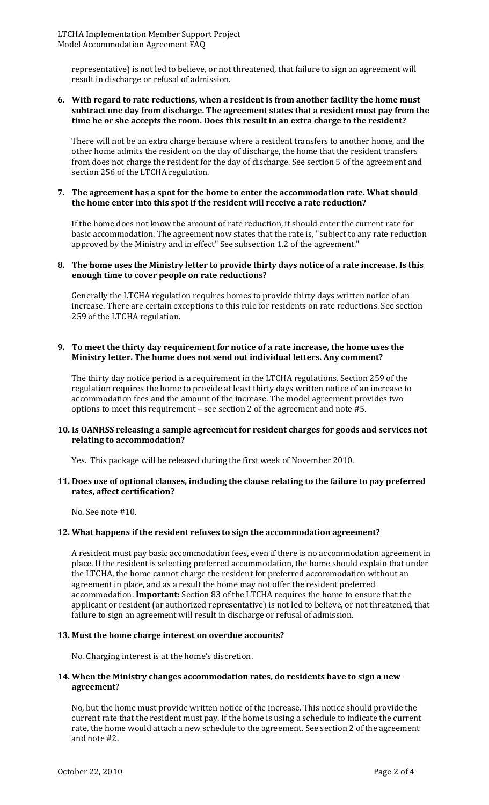representative) is not led to believe, or not threatened, that failure to sign an agreement will result in discharge or refusal of admission.

### **6. With regard to rate reductions, when a resident is from another facility the home must subtract one day from discharge. The agreement states that a resident must pay from the time he or she accepts the room. Does this result in an extra charge to the resident?**

There will not be an extra charge because where a resident transfers to another home, and the other home admits the resident on the day of discharge, the home that the resident transfers from does not charge the resident for the day of discharge. See section 5 of the agreement and section 256 of the LTCHA regulation.

### **7. The agreement has a spot for the home to enter the accommodation rate. What should the home enter into this spot if the resident will receive a rate reduction?**

If the home does not know the amount of rate reduction, it should enter the current rate for basic accommodation. The agreement now states that the rate is, "subject to any rate reduction approved by the Ministry and in effect" See subsection 1.2 of the agreement."

### **8. The home uses the Ministry letter to provide thirty days notice of a rate increase. Is this enough time to cover people on rate reductions?**

Generally the LTCHA regulation requires homes to provide thirty days written notice of an increase. There are certain exceptions to this rule for residents on rate reductions. See section 259 of the LTCHA regulation.

### **9. To meet the thirty day requirement for notice of a rate increase, the home uses the Ministry letter. The home does not send out individual letters. Any comment?**

The thirty day notice period is a requirement in the LTCHA regulations. Section 259 of the regulation requires the home to provide at least thirty days written notice of an increase to accommodation fees and the amount of the increase. The model agreement provides two options to meet this requirement – see section 2 of the agreement and note #5.

# **10. Is OANHSS releasing a sample agreement for resident charges for goods and services not relating to accommodation?**

Yes. This package will be released during the first week of November 2010.

# **11. Does use of optional clauses, including the clause relating to the failure to pay preferred rates, affect certification?**

No. See note #10.

# **12. What happens if the resident refuses to sign the accommodation agreement?**

A resident must pay basic accommodation fees, even if there is no accommodation agreement in place. If the resident is selecting preferred accommodation, the home should explain that under the LTCHA, the home cannot charge the resident for preferred accommodation without an agreement in place, and as a result the home may not offer the resident preferred accommodation. **Important:** Section 83 of the LTCHA requires the home to ensure that the applicant or resident (or authorized representative) is not led to believe, or not threatened, that failure to sign an agreement will result in discharge or refusal of admission.

### **13. Must the home charge interest on overdue accounts?**

No. Charging interest is at the home's discretion.

### **14. When the Ministry changes accommodation rates, do residents have to sign a new agreement?**

No, but the home must provide written notice of the increase. This notice should provide the current rate that the resident must pay. If the home is using a schedule to indicate the current rate, the home would attach a new schedule to the agreement. See section 2 of the agreement and note #2.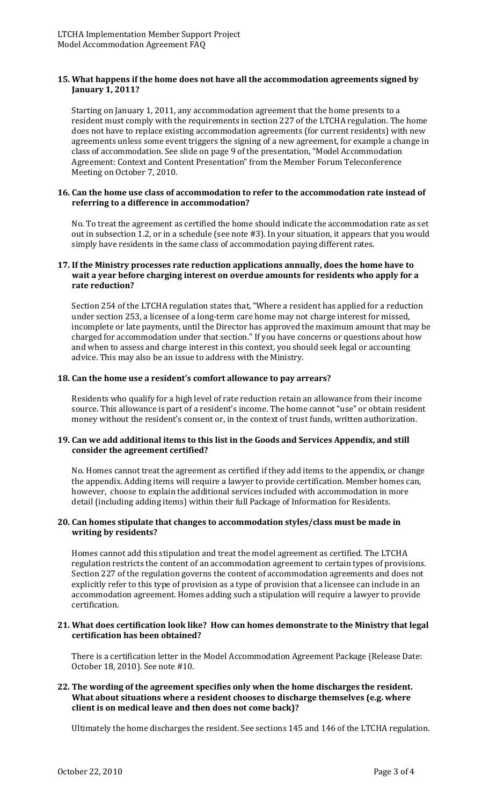# **15. What happens if the home does not have all the accommodation agreements signed by January 1, 2011?**

Starting on January 1, 2011, any accommodation agreement that the home presents to a resident must comply with the requirements in section 227 of the LTCHA regulation. The home does not have to replace existing accommodation agreements (for current residents) with new agreements unless some event triggers the signing of a new agreement, for example a change in class of accommodation. See slide on page 9 of the presentation, "Model Accommodation Agreement: Context and Content Presentation" from the Member Forum Teleconference Meeting on October 7, 2010.

### **16. Can the home use class of accommodation to refer to the accommodation rate instead of referring to a difference in accommodation?**

No. To treat the agreement as certified the home should indicate the accommodation rate as set out in subsection 1.2, or in a schedule (see note #3). In your situation, it appears that you would simply have residents in the same class of accommodation paying different rates.

# **17. If the Ministry processes rate reduction applications annually, does the home have to wait a year before charging interest on overdue amounts for residents who apply for a rate reduction?**

Section 254 of the LTCHA regulation states that, "Where a resident has applied for a reduction under section 253, a licensee of a long-term care home may not charge interest for missed, incomplete or late payments, until the Director has approved the maximum amount that may be charged for accommodation under that section." If you have concerns or questions about how and when to assess and charge interest in this context, you should seek legal or accounting advice. This may also be an issue to address with the Ministry.

# **18. Can the home use a resident's comfort allowance to pay arrears?**

Residents who qualify for a high level of rate reduction retain an allowance from their income source. This allowance is part of a resident's income. The home cannot "use" or obtain resident money without the resident's consent or, in the context of trust funds, written authorization.

# **19. Can we add additional items to this list in the Goods and Services Appendix, and still consider the agreement certified?**

No. Homes cannot treat the agreement as certified if they add items to the appendix, or change the appendix. Adding items will require a lawyer to provide certification. Member homes can, however, choose to explain the additional services included with accommodation in more detail (including adding items) within their full Package of Information for Residents.

# **20. Can homes stipulate that changes to accommodation styles/class must be made in writing by residents?**

Homes cannot add this stipulation and treat the model agreement as certified. The LTCHA regulation restricts the content of an accommodation agreement to certain types of provisions. Section 227 of the regulation governs the content of accommodation agreements and does not explicitly refer to this type of provision as a type of provision that a licensee can include in an accommodation agreement. Homes adding such a stipulation will require a lawyer to provide certification.

# **21. What does certification look like? How can homes demonstrate to the Ministry that legal certification has been obtained?**

There is a certification letter in the Model Accommodation Agreement Package (Release Date: October 18, 2010). See note #10.

# **22. The wording of the agreement specifies only when the home discharges the resident. What about situations where a resident chooses to discharge themselves (e.g. where client is on medical leave and then does not come back)?**

Ultimately the home discharges the resident. See sections 145 and 146 of the LTCHA regulation.